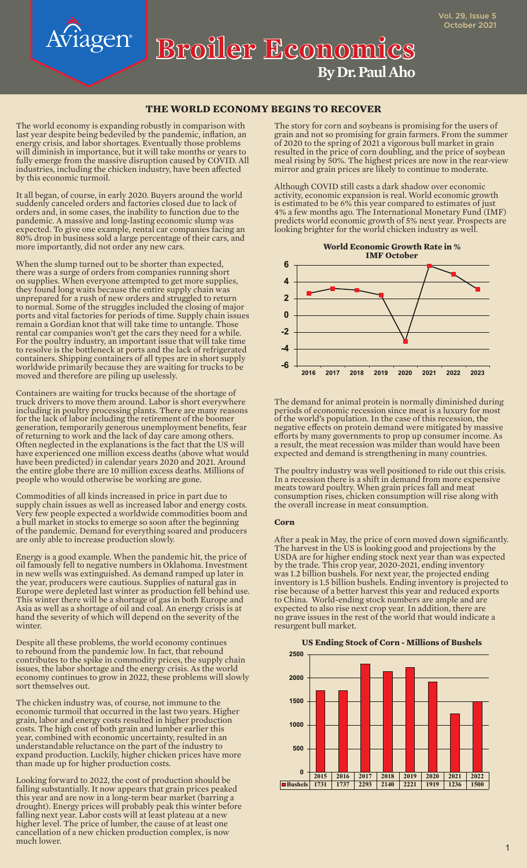**By Dr. Paul Aho Broiler Economics**

## **THE WORLD ECONOMY BEGINS TO RECOVER**

The world economy is expanding robustly in comparison with last year despite being bedeviled by the pandemic, inflation, an energy crisis, and labor shortages. Eventually those problems will diminish in importance, but it will take months or years to fully emerge from the massive disruption caused by COVID. All industries, including the chicken industry, have been affected by this economic turmoil.

riagen

It all began, of course, in early 2020. Buyers around the world suddenly canceled orders and factories closed due to lack of orders and, in some cases, the inability to function due to the pandemic. A massive and long-lasting economic slump was expected. To give one example, rental car companies facing an 80% drop in business sold a large percentage of their cars, and more importantly, did not order any new cars.

When the slump turned out to be shorter than expected, there was a surge of orders from companies running short on supplies. When everyone attempted to get more supplies, they found long waits because the entire supply chain was unprepared for a rush of new orders and struggled to return to normal. Some of the struggles included the closing of major ports and vital factories for periods of time. Supply chain issues remain a Gordian knot that will take time to untangle. Those rental car companies won't get the cars they need for a while. For the poultry industry, an important issue that will take time to resolve is the bottleneck at ports and the lack of refrigerated containers. Shipping containers of all types are in short supply worldwide primarily because they are waiting for trucks to be moved and therefore are piling up uselessly.

Containers are waiting for trucks because of the shortage of truck drivers to move them around. Labor is short everywhere including in poultry processing plants. There are many reasons for the lack of labor including the retirement of the boomer generation, temporarily generous unemployment benefits, fear of returning to work and the lack of day care among others. Often neglected in the explanations is the fact that the US will have experienced one million excess deaths (above what would have been predicted) in calendar years 2020 and 2021. Around the entire globe there are 10 million excess deaths. Millions of people who would otherwise be working are gone.

Commodities of all kinds increased in price in part due to supply chain issues as well as increased labor and energy costs. Very few people expected a worldwide commodities boom and a bull market in stocks to emerge so soon after the beginning of the pandemic. Demand for everything soared and producers are only able to increase production slowly.

Energy is a good example. When the pandemic hit, the price of oil famously fell to negative numbers in Oklahoma. Investment in new wells was extinguished. As demand ramped up later in the year, producers were cautious. Supplies of natural gas in Europe were depleted last winter as production fell behind use. This winter there will be a shortage of gas in both Europe and Asia as well as a shortage of oil and coal. An energy crisis is at hand the severity of which will depend on the severity of the winter.

Despite all these problems, the world economy continues to rebound from the pandemic low. In fact, that rebound contributes to the spike in commodity prices, the supply chain issues, the labor shortage and the energy crisis. As the world economy continues to grow in 2022, these problems will slowly sort themselves out.

The chicken industry was, of course, not immune to the economic turmoil that occurred in the last two years. Higher grain, labor and energy costs resulted in higher production costs. The high cost of both grain and lumber earlier this year, combined with economic uncertainty, resulted in an understandable reluctance on the part of the industry to expand production. Luckily, higher chicken prices have more than made up for higher production costs.

Looking forward to 2022, the cost of production should be falling substantially. It now appears that grain prices peaked this year and are now in a long-term bear market (barring a drought). Energy prices will probably peak this winter before falling next year. Labor costs will at least plateau at a new higher level. The price of lumber, the cause of at least one cancellation of a new chicken production complex, is now much lower.

The story for corn and soybeans is promising for the users of grain and not so promising for grain farmers. From the summer of 2020 to the spring of 2021 a vigorous bull market in grain resulted in the price of corn doubling, and the price of soybean meal rising by 50%. The highest prices are now in the rear-view mirror and grain prices are likely to continue to moderate.

Although COVID still casts a dark shadow over economic activity, economic expansion is real. World economic growth is estimated to be 6% this year compared to estimates of just 4% a few months ago. The International Monetary Fund (IMF) predicts world economic growth of 5% next year. Prospects are looking brighter for the world chicken industry as well.



The demand for animal protein is normally diminished during periods of economic recession since meat is a luxury for most of the world's population. In the case of this recession, the negative effects on protein demand were mitigated by massive efforts by many governments to prop up consumer income. As a result, the meat recession was milder than would have been expected and demand is strengthening in many countries.

The poultry industry was well positioned to ride out this crisis. In a recession there is a shift in demand from more expensive meats toward poultry. When grain prices fall and meat consumption rises, chicken consumption will rise along with the overall increase in meat consumption.

#### **Corn**

After a peak in May, the price of corn moved down significantly. The harvest in the US is looking good and projections by the USDA are for higher ending stock next year than was expected by the trade. This crop year, 2020-2021, ending inventory was 1.2 billion bushels. For next year, the projected ending inventory is 1.5 billion bushels. Ending inventory is projected to rise because of a better harvest this year and reduced exports to China. World-ending stock numbers are ample and are expected to also rise next crop year. In addition, there are no grave issues in the rest of the world that would indicate a resurgent bull market.

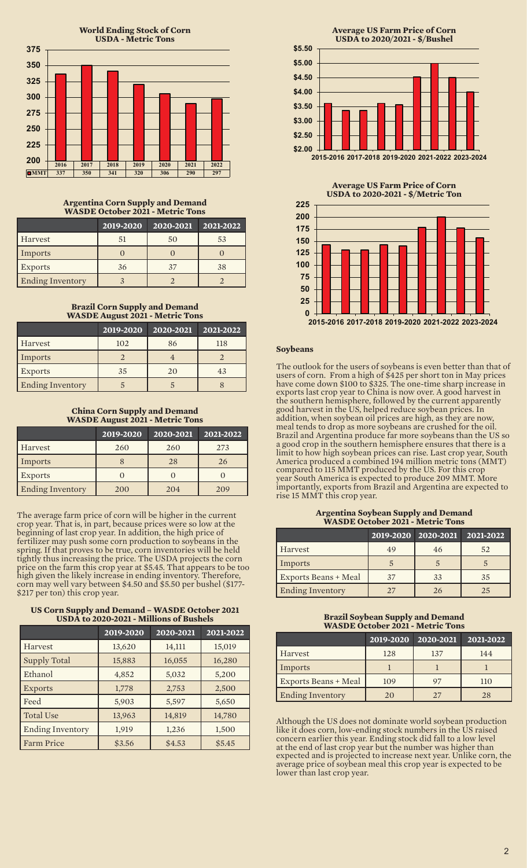

### **Argentina Corn Supply and Demand WASDE October 2021 - Metric Tons**

|                         | 2019-2020 | 2020-2021 | 2021-2022 |
|-------------------------|-----------|-----------|-----------|
| Harvest                 | 51        | 50        | 53        |
| Imports                 |           |           |           |
| <b>Exports</b>          | 36        | 37        | 38        |
| <b>Ending Inventory</b> |           |           |           |

## **Brazil Corn Supply and Demand WASDE August 2021 - Metric Tons**

|                         | 2019-2020 | 2020-2021 | 2021-2022 |
|-------------------------|-----------|-----------|-----------|
| Harvest                 | 102       | 86        | 118       |
| Imports                 |           |           |           |
| <b>Exports</b>          | 35        | 20        | 43        |
| <b>Ending Inventory</b> |           |           |           |

## **China Corn Supply and Demand WASDE August 2021 - Metric Tons**

|                         | 2019-2020 | 2020-2021 | 2021-2022 |
|-------------------------|-----------|-----------|-----------|
| Harvest                 | 260       | 260       | 273       |
| Imports                 |           | 28        | 26        |
| <b>Exports</b>          |           |           |           |
| <b>Ending Inventory</b> | 200       | 204       | 209       |

The average farm price of corn will be higher in the current crop year. That is, in part, because prices were so low at the beginning of last crop year. In addition, the high price of fertilizer may push some corn production to soybeans in the spring. If that proves to be true, corn inventories will be held tightly thus increasing the price. The USDA projects the corn price on the farm this crop year at \$5.45. That appears to be too high given the likely increase in ending inventory. Therefore, corn may well vary between \$4.50 and \$5.50 per bushel (\$177- \$217 per ton) this crop year.

#### **US Corn Supply and Demand – WASDE October 2021 USDA to 2020-2021 - Millions of Bushels**

|                         | 2019-2020 | $\overline{20}$ 20-2021 | 2021-2022 |
|-------------------------|-----------|-------------------------|-----------|
| Harvest                 | 13,620    | 14,111                  | 15,019    |
| <b>Supply Total</b>     | 15,883    | 16,055                  | 16,280    |
| Ethanol                 | 4,852     | 5,032                   | 5,200     |
| <b>Exports</b>          | 1,778     | 2,753                   | 2,500     |
| Feed                    | 5,903     | 5,597                   | 5,650     |
| <b>Total Use</b>        | 13,963    | 14,819                  | 14,780    |
| <b>Ending Inventory</b> | 1,919     | 1,236                   | 1,500     |
| <b>Farm Price</b>       | \$3.56    | \$4.53                  | \$5.45    |



**2015-2016 2017-2018 2019-2020 2021-2022 2023-2024**

**Average US Farm Price of Corn USDA to 2020-2021 - \$/Metric Ton**



## **Soybeans**

The outlook for the users of soybeans is even better than that of users of corn. From a high of \$425 per short ton in May prices have come down \$100 to \$325. The one-time sharp increase in exports last crop year to China is now over. A good harvest in the southern hemisphere, followed by the current apparently good harvest in the US, helped reduce soybean prices. In addition, when soybean oil prices are high, as they are now, meal tends to drop as more soybeans are crushed for the oil. Brazil and Argentina produce far more soybeans than the US so a good crop in the southern hemisphere ensures that there is a limit to how high soybean prices can rise. Last crop year, South America produced a combined 194 million metric tons (MMT) compared to 115 MMT produced by the US. For this crop year South America is expected to produce 209 MMT. More importantly, exports from Brazil and Argentina are expected to rise 15 MMT this crop year.

#### **Argentina Soybean Supply and Demand WASDE October 2021 - Metric Tons**

|                             |     | 2019-2020 2020-2021 | 2021-2022 |
|-----------------------------|-----|---------------------|-----------|
| Harvest                     | 49  | 46                  | 52        |
| Imports                     |     |                     |           |
| <b>Exports Beans + Meal</b> | 37  | 33                  | 35        |
| <b>Ending Inventory</b>     | 2.7 | 26                  | 25        |

### **Brazil Soybean Supply and Demand WASDE October 2021 - Metric Tons**

|                         | 2019-2020 | 2020-2021 | 2021-2022 |
|-------------------------|-----------|-----------|-----------|
| Harvest                 | 128       | 137       | 144       |
| Imports                 |           |           |           |
| Exports Beans + Meal    | 109       |           | 110       |
| <b>Ending Inventory</b> | 20        |           | 28        |

Although the US does not dominate world soybean production like it does corn, low-ending stock numbers in the US raised concern earlier this year. Ending stock did fall to a low level at the end of last crop year but the number was higher than expected and is projected to increase next year. Unlike corn, the average price of soybean meal this crop year is expected to be lower than last crop year.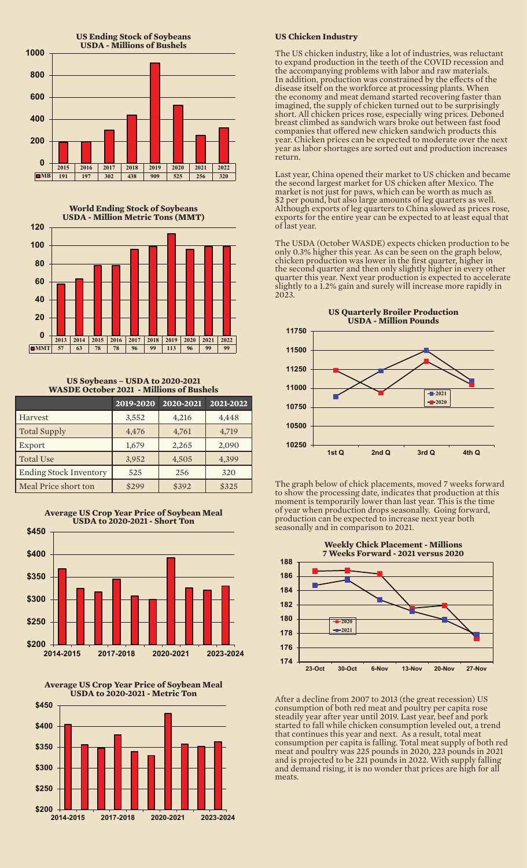



**US Soybeans – USDA to 2020-2021 WASDE October 2021 - Millions of Bushels** 

|                               | 2019-2020 | $2020 - 2021$ | 2021-2022 |
|-------------------------------|-----------|---------------|-----------|
| Harvest                       | 3,552     | 4,216         | 4,448     |
| <b>Total Supply</b>           | 4,476     | 4,761         | 4,719     |
| Export                        | 1,679     | 2,265         | 2,090     |
| <b>Total Use</b>              | 3,952     | 4,505         | 4,399     |
| <b>Ending Stock Inventory</b> | 525       | 256           | 320       |
| Meal Price short ton          | \$299     | \$392         | \$325     |





### **US Chicken Industry**

The US chicken industry, like a lot of industries, was reluctant to expand production in the teeth of the COVID recession and the accompanying problems with labor and raw materials. In addition, production was constrained by the effects of the disease itself on the workforce at processing plants. When the economy and meat demand started recovering faster than imagined, the supply of chicken turned out to be surprisingly short. All chicken prices rose, especially wing prices. Deboned breast climbed as sandwich wars broke out between fast food companies that offered new chicken sandwich products this year. Chicken prices can be expected to moderate over the next year as labor shortages are sorted out and production increases return.

Last year, China opened their market to US chicken and became the second largest market for US chicken after Mexico. The market is not just for paws, which can be worth as much as \$2 per pound, but also large amounts of leg quarters as well. Although exports of leg quarters to China slowed as prices rose, exports for the entire year can be expected to at least equal that of last year.

The USDA (October WASDE) expects chicken production to be only 0.3% higher this year. As can be seen on the graph below, chicken production was lower in the first quarter, higher in the second quarter and then only slightly higher in every other quarter this year. Next year production is expected to accelerate slightly to a 1.2% gain and surely will increase more rapidly in 2023.



The graph below of chick placements, moved 7 weeks forward to show the processing date, indicates that production at this moment is temporarily lower than last year. This is the time of year when production drops seasonally. Going forward, production can be expected to increase next year both seasonally and in comparison to 2021.



After a decline from 2007 to 2013 (the great recession) US consumption of both red meat and poultry per capita rose steadily year after year until 2019. Last year, beef and pork started to fall while chicken consumption leveled out, a trend that continues this year and next. As a result, total meat consumption per capita is falling. Total meat supply of both red meat and poultry was 225 pounds in 2020, 223 pounds in 2021 and is projected to be 221 pounds in 2022. With supply falling and demand rising, it is no wonder that prices are high for all meats.

**Average US Crop Year Price of Soybean Meal**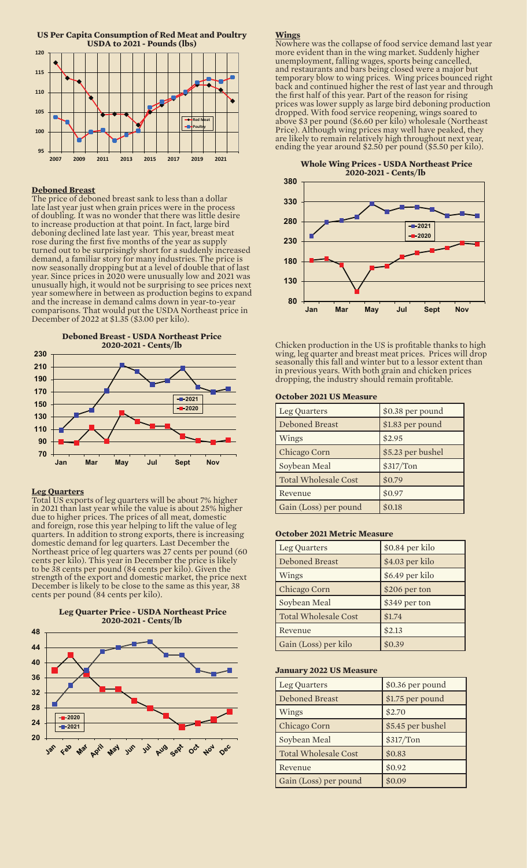

#### **Deboned Breast**

The price of deboned breast sank to less than a dollar late last year just when grain prices were in the process of doubling. It was no wonder that there was little desire to increase production at that point. In fact, large bird deboning declined late last year. This year, breast meat rose during the first five months of the year as supply turned out to be surprisingly short for a suddenly increased demand, a familiar story for many industries. The price is now seasonally dropping but at a level of double that of last year. Since prices in 2020 were unusually low and 2021 was unusually high, it would not be surprising to see prices next year somewhere in between as production begins to expand and the increase in demand calms down in year-to-year comparisons. That would put the USDA Northeast price in December of 2022 at \$1.35 (\$3.00 per kilo).



#### **Leg Quarters**

Total US exports of leg quarters will be about 7% higher in 2021 than last year while the value is about 25% higher due to higher prices. The prices of all meat, domestic and foreign, rose this year helping to lift the value of leg quarters. In addition to strong exports, there is increasing domestic demand for leg quarters. Last December the Northeast price of leg quarters was 27 cents per pound (60 cents per kilo). This year in December the price is likely to be 38 cents per pound (84 cents per kilo). Given the strength of the export and domestic market, the price next December is likely to be close to the same as this year, 38 cents per pound (84 cents per kilo).



#### **Wings**

Nowhere was the collapse of food service demand last year more evident than in the wing market. Suddenly higher unemployment, falling wages, sports being cancelled, and restaurants and bars being closed were a major but temporary blow to wing prices. Wing prices bounced right back and continued higher the rest of last year and through the first half of this year. Part of the reason for rising prices was lower supply as large bird deboning production dropped. With food service reopening, wings soared to above \$3 per pound (\$6.60 per kilo) wholesale (Northeast Price). Although wing prices may well have peaked, they are likely to remain relatively high throughout next year, ending the year around \$2.50 per pound (\$5.50 per kilo).

**Whole Wing Prices - USDA Northeast Price 2020-2021 - Cents/lb**



Chicken production in the US is profitable thanks to high wing, leg quarter and breast meat prices. Prices will drop seasonally this fall and winter but to a lessor extent than in previous years. With both grain and chicken prices dropping, the industry should remain profitable.

#### **October 2021 US Measure**

| Leg Quarters                | \$0.38 per pound  |
|-----------------------------|-------------------|
| Deboned Breast              | \$1.83 per pound  |
| Wings                       | \$2.95            |
| Chicago Corn                | \$5.23 per bushel |
| Soybean Meal                | \$317/Ton         |
| <b>Total Wholesale Cost</b> | \$0.79            |
| Revenue                     | \$0.97            |
| Gain (Loss) per pound       | \$0.18            |

#### **October 2021 Metric Measure**

| Leg Quarters                | \$0.84 per kilo |
|-----------------------------|-----------------|
| <b>Deboned Breast</b>       | \$4.03 per kilo |
| Wings                       | \$6.49 per kilo |
| Chicago Corn                | \$206 per ton   |
| Soybean Meal                | \$349 per ton   |
| <b>Total Wholesale Cost</b> | \$1.74          |
| Revenue                     | \$2.13          |
| Gain (Loss) per kilo        | \$0.39          |

#### **January 2022 US Measure**

| Leg Quarters          | \$0.36 per pound  |
|-----------------------|-------------------|
| Deboned Breast        | \$1.75 per pound  |
| Wings                 | \$2.70            |
| Chicago Corn          | \$5.45 per bushel |
| Soybean Meal          | \$317/Ton         |
| Total Wholesale Cost  | \$0.83            |
| Revenue               | \$0.92            |
| Gain (Loss) per pound | \$0.09            |